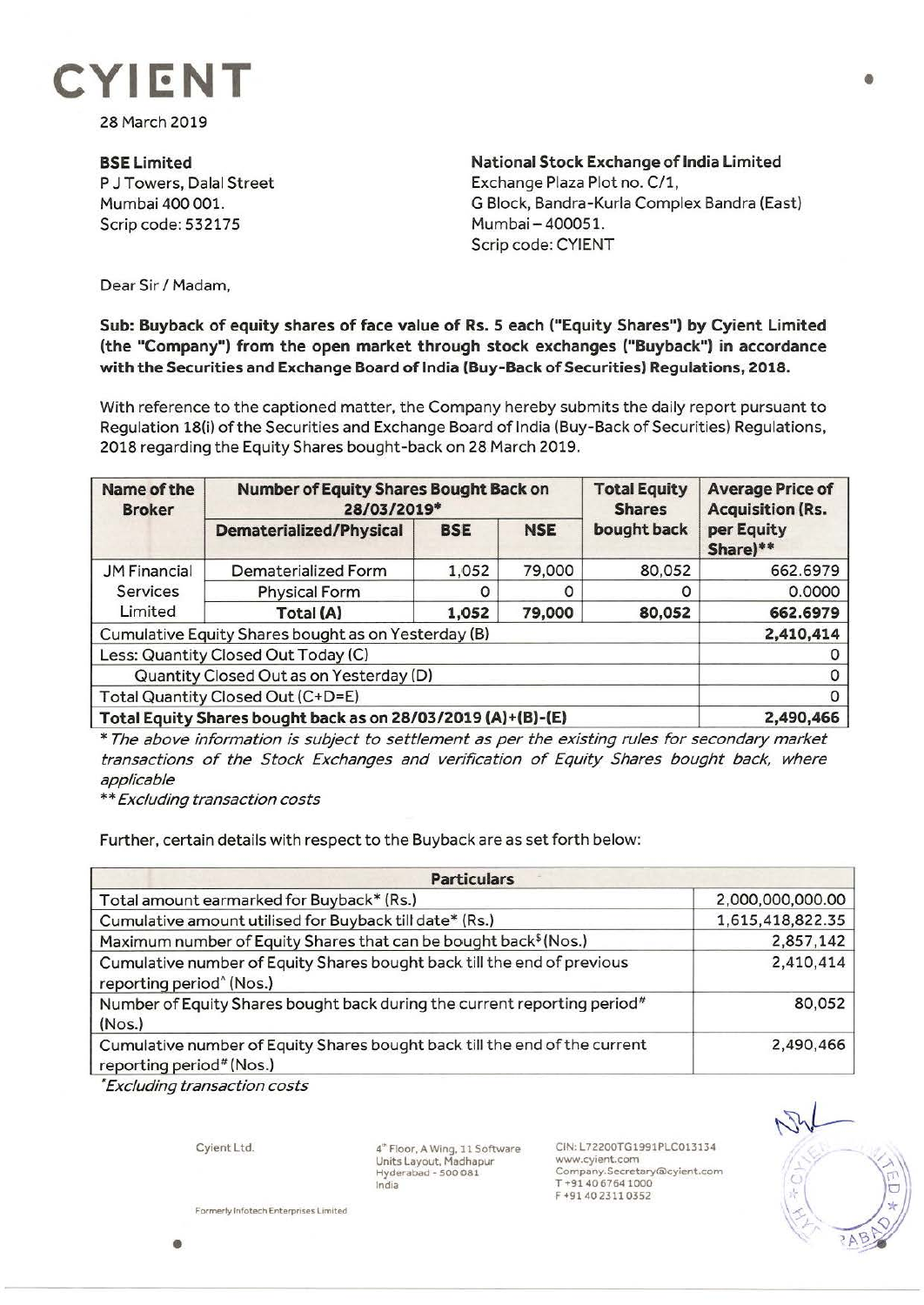

28 March 2019

**BSELimited**  P J Towers, Dalal Street Mumbai 400 001. Scrip code: 532175

**National Stock Exchange of India Limited**  Exchange Plaza Plot no. C/1, G Block, Bandra-Kurla Complex Sandra (East) Mumbai-400051. Scrip code: CYIENT

Dear Sir *I* Madam,

## **Sub: Buyback of equity shares of face value of Rs. S each ("Equity Shares") by Cyient Limited (the "Company") from the open market through stock exchanges ("Buyback") in accordance with the Securities and Exchange Board of India (Buy-Back of Securities) Regulations, 2018.**

With reference to the captioned matter, the Company hereby submits the daily report pursuant to Regulation 18(i) of the Securities and Exchange Board of India (Buy-Back of Securities) Regulations, 2018 regarding the Equity Shares bought-back on 28 March 2019.

| Name of the<br><b>Broker</b>                                 | <b>Number of Equity Shares Bought Back on</b><br>28/03/2019* |            |            | <b>Total Equity</b><br><b>Shares</b> | <b>Average Price of</b><br><b>Acquisition (Rs.</b> |
|--------------------------------------------------------------|--------------------------------------------------------------|------------|------------|--------------------------------------|----------------------------------------------------|
|                                                              | <b>Dematerialized/Physical</b>                               | <b>BSE</b> | <b>NSE</b> | bought back                          | per Equity<br>Share)**                             |
| <b>JM Financial</b><br><b>Services</b><br>Limited            | Dematerialized Form                                          | 1,052      | 79,000     | 80,052                               | 662.6979                                           |
|                                                              | <b>Physical Form</b>                                         | 0          | 0          | 0                                    | 0.0000                                             |
|                                                              | Total (A)                                                    | 1,052      | 79,000     | 80,052                               | 662.6979                                           |
| Cumulative Equity Shares bought as on Yesterday (B)          |                                                              |            |            |                                      | 2,410,414                                          |
| Less: Quantity Closed Out Today (C)                          |                                                              |            |            |                                      |                                                    |
| Quantity Closed Out as on Yesterday (D)                      |                                                              |            |            |                                      |                                                    |
| Total Quantity Closed Out (C+D=E)                            |                                                              |            |            |                                      |                                                    |
| Total Equity Shares bought back as on 28/03/2019 (A)+(B)-(E) |                                                              |            |            |                                      | 2,490,466                                          |

\* The above information is subject to settlement as per the existing rules for secondary market transactions of the Stock Exchanges and verification of Equity Shares bought back, where applicable

\*\* Excluding transaction costs

Further, certain details with respect to the Buyback are as set forth below:

| <b>Particulars</b>                                                                                              |                  |  |  |  |
|-----------------------------------------------------------------------------------------------------------------|------------------|--|--|--|
| Total amount earmarked for Buyback* (Rs.)                                                                       | 2,000,000,000.00 |  |  |  |
| Cumulative amount utilised for Buyback till date* (Rs.)                                                         | 1,615,418,822.35 |  |  |  |
| Maximum number of Equity Shares that can be bought back <sup>\$</sup> (Nos.)                                    | 2,857,142        |  |  |  |
| Cumulative number of Equity Shares bought back till the end of previous<br>reporting period <sup>^</sup> (Nos.) | 2,410,414        |  |  |  |
| Number of Equity Shares bought back during the current reporting period#<br>(Nos.)                              | 80,052           |  |  |  |
| Cumulative number of Equity Shares bought back till the end of the current<br>reporting period# (Nos.)          | 2,490,466        |  |  |  |

\* Excluding transaction costs

Cyient Ltd.

4~ Floor, A Wing, 11 Software Units Layout, Madhapur Hyderabad - S00 081 India

CIN: L72200TG1991PLC013134 www.cyient.com **Company.Secretary®cyient.com**  T •9140 6764 1000 F •9140 23110352



**Formerly lnfotech Enterprises Limited** 

•

•